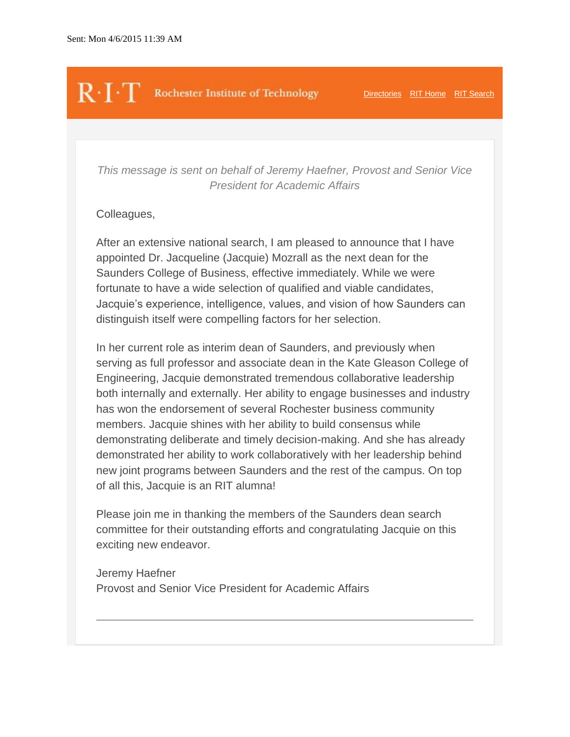# $\mathbb{R}\cdot\Gamma\cdot\mathbb{T}$  Rochester Institute of Technology [Directories](http://www.rit.edu/directories1.html) [RIT Home](https://www.rit.edu/) [RIT Search](http://www.rit.edu/search/)

*This message is sent on behalf of Jeremy Haefner, Provost and Senior Vice President for Academic Affairs*

### Colleagues,

After an extensive national search, I am pleased to announce that I have appointed Dr. Jacqueline (Jacquie) Mozrall as the next dean for the Saunders College of Business, effective immediately. While we were fortunate to have a wide selection of qualified and viable candidates, Jacquie's experience, intelligence, values, and vision of how Saunders can distinguish itself were compelling factors for her selection.

In her current role as interim dean of Saunders, and previously when serving as full professor and associate dean in the Kate Gleason College of Engineering, Jacquie demonstrated tremendous collaborative leadership both internally and externally. Her ability to engage businesses and industry has won the endorsement of several Rochester business community members. Jacquie shines with her ability to build consensus while demonstrating deliberate and timely decision-making. And she has already demonstrated her ability to work collaboratively with her leadership behind new joint programs between Saunders and the rest of the campus. On top of all this, Jacquie is an RIT alumna!

Please join me in thanking the members of the Saunders dean search committee for their outstanding efforts and congratulating Jacquie on this exciting new endeavor.

Jeremy Haefner Provost and Senior Vice President for Academic Affairs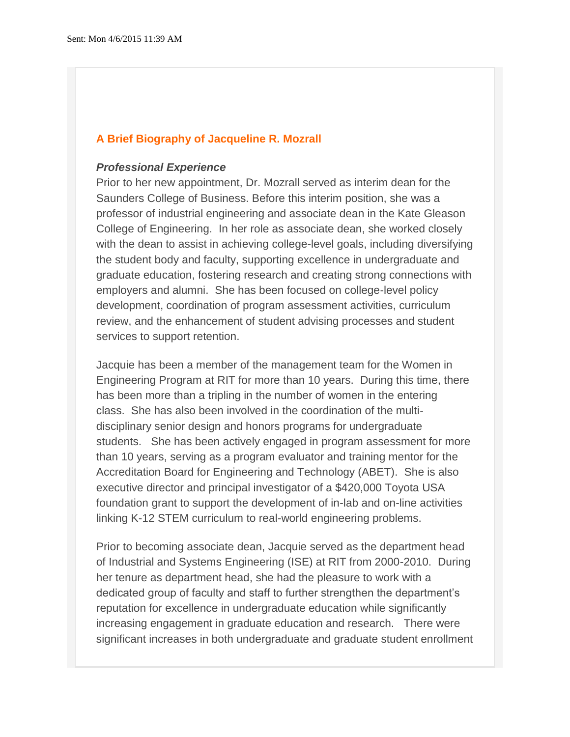#### **A Brief Biography of Jacqueline R. Mozrall**

#### *Professional Experience*

Prior to her new appointment, Dr. Mozrall served as interim dean for the Saunders College of Business. Before this interim position, she was a professor of industrial engineering and associate dean in the Kate Gleason College of Engineering. In her role as associate dean, she worked closely with the dean to assist in achieving college-level goals, including diversifying the student body and faculty, supporting excellence in undergraduate and graduate education, fostering research and creating strong connections with employers and alumni. She has been focused on college-level policy development, coordination of program assessment activities, curriculum review, and the enhancement of student advising processes and student services to support retention.

Jacquie has been a member of the management team for the Women in Engineering Program at RIT for more than 10 years. During this time, there has been more than a tripling in the number of women in the entering class. She has also been involved in the coordination of the multidisciplinary senior design and honors programs for undergraduate students. She has been actively engaged in program assessment for more than 10 years, serving as a program evaluator and training mentor for the Accreditation Board for Engineering and Technology (ABET). She is also executive director and principal investigator of a \$420,000 Toyota USA foundation grant to support the development of in-lab and on-line activities linking K-12 STEM curriculum to real-world engineering problems.

Prior to becoming associate dean, Jacquie served as the department head of Industrial and Systems Engineering (ISE) at RIT from 2000-2010. During her tenure as department head, she had the pleasure to work with a dedicated group of faculty and staff to further strengthen the department's reputation for excellence in undergraduate education while significantly increasing engagement in graduate education and research. There were significant increases in both undergraduate and graduate student enrollment